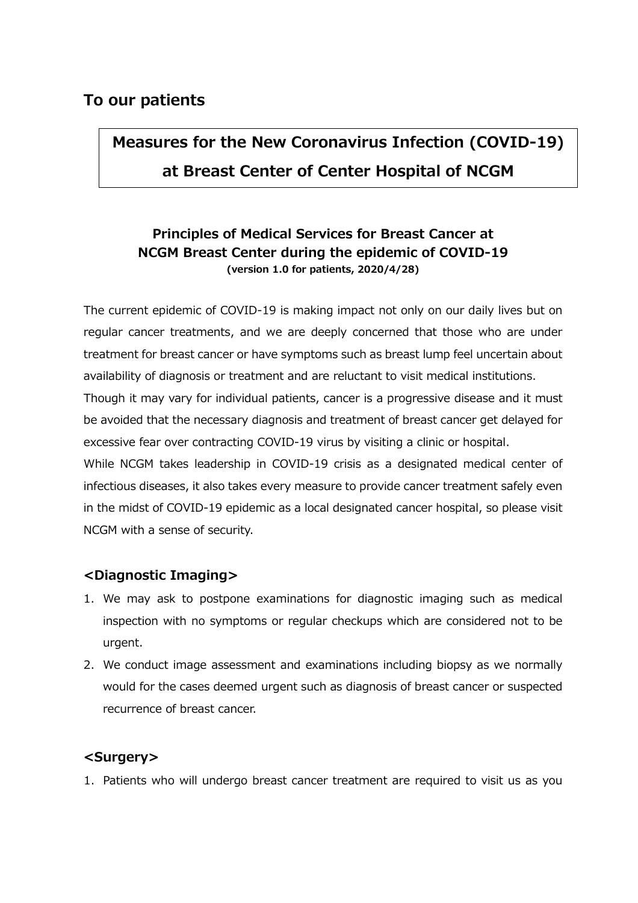# **To our patients**

# **Measures for the New Coronavirus Infection (COVID-19) at Breast Center of Center Hospital of NCGM**

# **Principles of Medical Services for Breast Cancer at NCGM Breast Center during the epidemic of COVID-19 (version 1.0 for patients, 2020/4/28)**

The current epidemic of COVID-19 is making impact not only on our daily lives but on regular cancer treatments, and we are deeply concerned that those who are under treatment for breast cancer or have symptoms such as breast lump feel uncertain about availability of diagnosis or treatment and are reluctant to visit medical institutions.

Though it may vary for individual patients, cancer is a progressive disease and it must be avoided that the necessary diagnosis and treatment of breast cancer get delayed for excessive fear over contracting COVID-19 virus by visiting a clinic or hospital.

While NCGM takes leadership in COVID-19 crisis as a designated medical center of infectious diseases, it also takes every measure to provide cancer treatment safely even in the midst of COVID-19 epidemic as a local designated cancer hospital, so please visit NCGM with a sense of security.

## **<Diagnostic Imaging>**

- 1. We may ask to postpone examinations for diagnostic imaging such as medical inspection with no symptoms or regular checkups which are considered not to be urgent.
- 2. We conduct image assessment and examinations including biopsy as we normally would for the cases deemed urgent such as diagnosis of breast cancer or suspected recurrence of breast cancer.

## **<Surgery>**

1. Patients who will undergo breast cancer treatment are required to visit us as you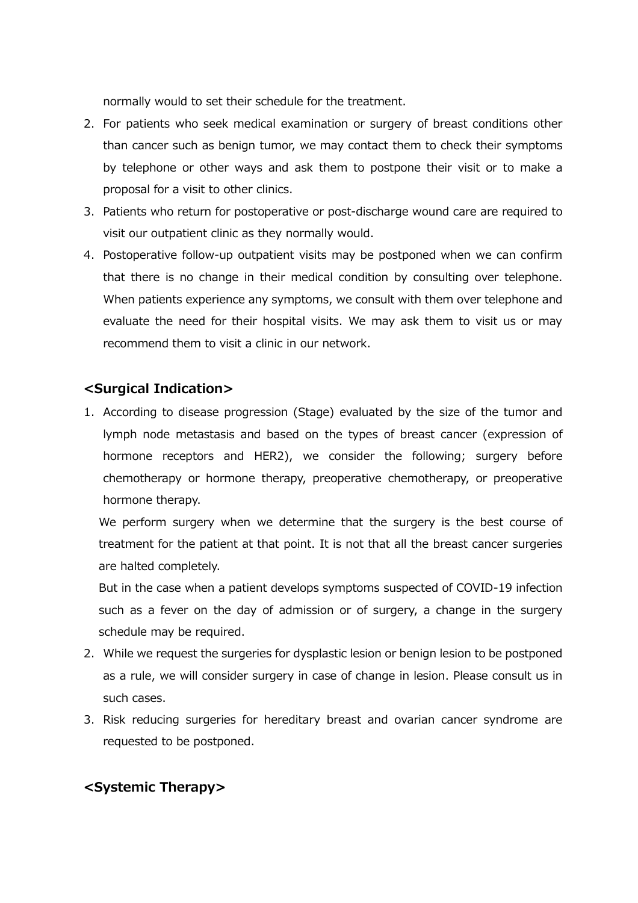normally would to set their schedule for the treatment.

- 2. For patients who seek medical examination or surgery of breast conditions other than cancer such as benign tumor, we may contact them to check their symptoms by telephone or other ways and ask them to postpone their visit or to make a proposal for a visit to other clinics.
- 3. Patients who return for postoperative or post-discharge wound care are required to visit our outpatient clinic as they normally would.
- 4. Postoperative follow-up outpatient visits may be postponed when we can confirm that there is no change in their medical condition by consulting over telephone. When patients experience any symptoms, we consult with them over telephone and evaluate the need for their hospital visits. We may ask them to visit us or may recommend them to visit a clinic in our network.

## **<Surgical Indication>**

1. According to disease progression (Stage) evaluated by the size of the tumor and lymph node metastasis and based on the types of breast cancer (expression of hormone receptors and HER2), we consider the following; surgery before chemotherapy or hormone therapy, preoperative chemotherapy, or preoperative hormone therapy.

We perform surgery when we determine that the surgery is the best course of treatment for the patient at that point. It is not that all the breast cancer surgeries are halted completely.

But in the case when a patient develops symptoms suspected of COVID-19 infection such as a fever on the day of admission or of surgery, a change in the surgery schedule may be required.

- 2. While we request the surgeries for dysplastic lesion or benign lesion to be postponed as a rule, we will consider surgery in case of change in lesion. Please consult us in such cases.
- 3. Risk reducing surgeries for hereditary breast and ovarian cancer syndrome are requested to be postponed.

## **<Systemic Therapy>**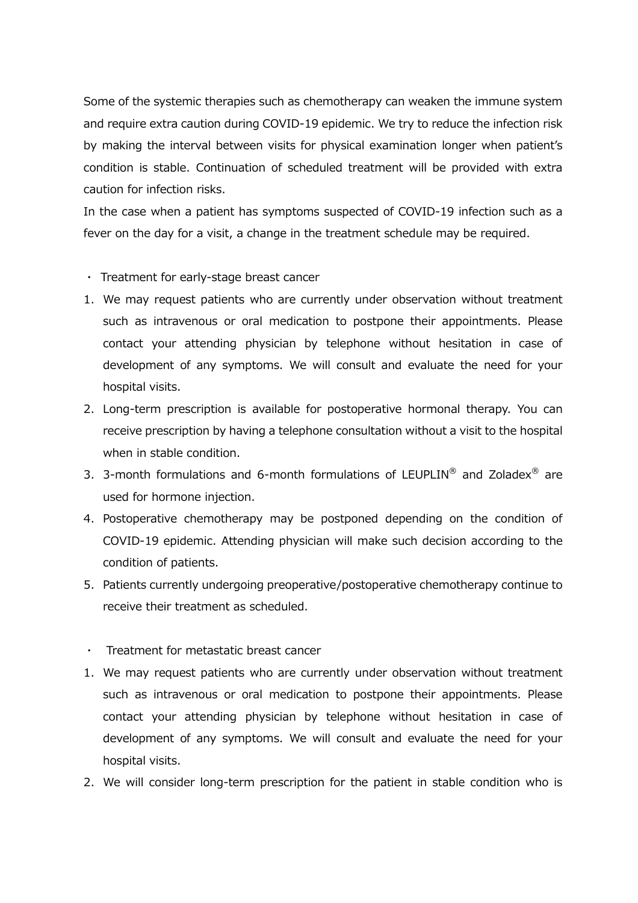Some of the systemic therapies such as chemotherapy can weaken the immune system and require extra caution during COVID-19 epidemic. We try to reduce the infection risk by making the interval between visits for physical examination longer when patient's condition is stable. Continuation of scheduled treatment will be provided with extra caution for infection risks.

In the case when a patient has symptoms suspected of COVID-19 infection such as a fever on the day for a visit, a change in the treatment schedule may be required.

- ・ Treatment for early-stage breast cancer
- 1. We may request patients who are currently under observation without treatment such as intravenous or oral medication to postpone their appointments. Please contact your attending physician by telephone without hesitation in case of development of any symptoms. We will consult and evaluate the need for your hospital visits.
- 2. Long-term prescription is available for postoperative hormonal therapy. You can receive prescription by having a telephone consultation without a visit to the hospital when in stable condition.
- 3. 3-month formulations and 6-month formulations of LEUPLIN<sup>®</sup> and Zoladex<sup>®</sup> are used for hormone injection.
- 4. Postoperative chemotherapy may be postponed depending on the condition of COVID-19 epidemic. Attending physician will make such decision according to the condition of patients.
- 5. Patients currently undergoing preoperative/postoperative chemotherapy continue to receive their treatment as scheduled.
- ・ Treatment for metastatic breast cancer
- 1. We may request patients who are currently under observation without treatment such as intravenous or oral medication to postpone their appointments. Please contact your attending physician by telephone without hesitation in case of development of any symptoms. We will consult and evaluate the need for your hospital visits.
- 2. We will consider long-term prescription for the patient in stable condition who is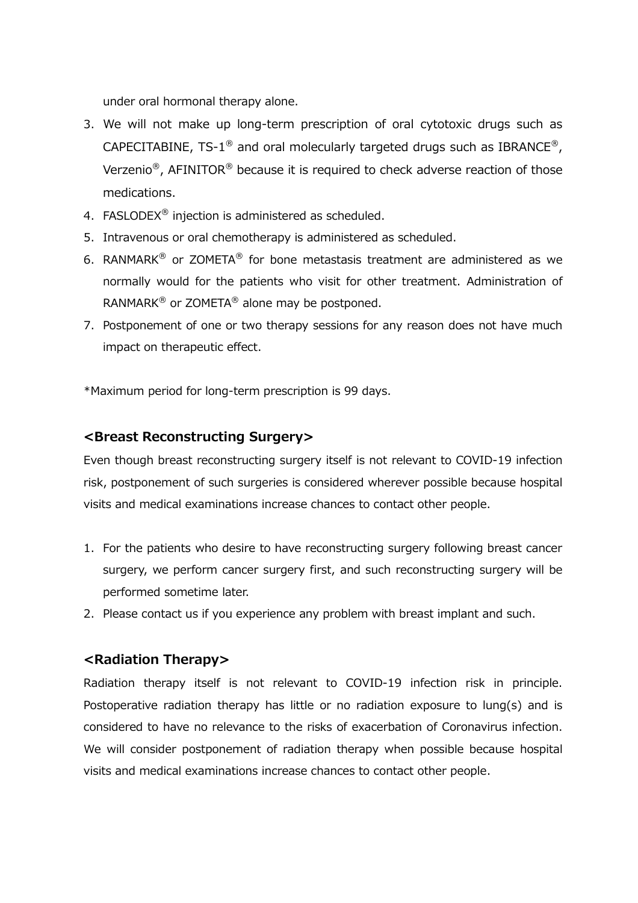under oral hormonal therapy alone.

- 3. We will not make up long-term prescription of oral cytotoxic drugs such as CAPECITABINE, TS-1<sup>®</sup> and oral molecularly targeted drugs such as IBRANCE<sup>®</sup>, Verzenio<sup>®</sup>, AFINITOR<sup>®</sup> because it is required to check adverse reaction of those medications.
- 4. FASLODEX<sup>®</sup> injection is administered as scheduled.
- 5. Intravenous or oral chemotherapy is administered as scheduled.
- 6. RANMARK<sup>®</sup> or ZOMETA<sup>®</sup> for bone metastasis treatment are administered as we normally would for the patients who visit for other treatment. Administration of RANMARK $^{\circledR}$  or ZOMETA $^{\circledR}$  alone may be postponed.
- 7. Postponement of one or two therapy sessions for any reason does not have much impact on therapeutic effect.

\*Maximum period for long-term prescription is 99 days.

## **<Breast Reconstructing Surgery>**

Even though breast reconstructing surgery itself is not relevant to COVID-19 infection risk, postponement of such surgeries is considered wherever possible because hospital visits and medical examinations increase chances to contact other people.

- 1. For the patients who desire to have reconstructing surgery following breast cancer surgery, we perform cancer surgery first, and such reconstructing surgery will be performed sometime later.
- 2. Please contact us if you experience any problem with breast implant and such.

#### **<Radiation Therapy>**

Radiation therapy itself is not relevant to COVID-19 infection risk in principle. Postoperative radiation therapy has little or no radiation exposure to lung(s) and is considered to have no relevance to the risks of exacerbation of Coronavirus infection. We will consider postponement of radiation therapy when possible because hospital visits and medical examinations increase chances to contact other people.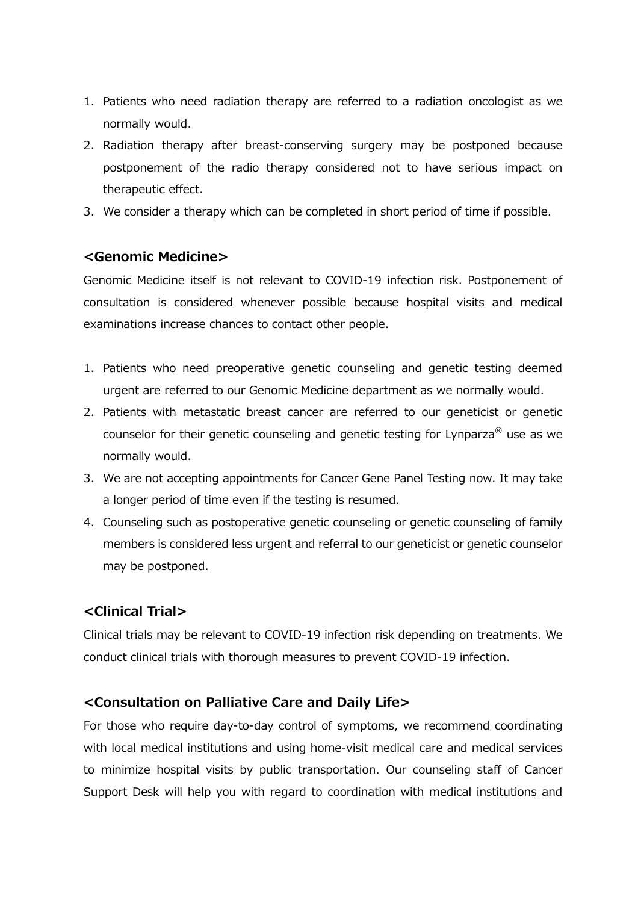- 1. Patients who need radiation therapy are referred to a radiation oncologist as we normally would.
- 2. Radiation therapy after breast-conserving surgery may be postponed because postponement of the radio therapy considered not to have serious impact on therapeutic effect.
- 3. We consider a therapy which can be completed in short period of time if possible.

#### **<Genomic Medicine>**

Genomic Medicine itself is not relevant to COVID-19 infection risk. Postponement of consultation is considered whenever possible because hospital visits and medical examinations increase chances to contact other people.

- 1. Patients who need preoperative genetic counseling and genetic testing deemed urgent are referred to our Genomic Medicine department as we normally would.
- 2. Patients with metastatic breast cancer are referred to our geneticist or genetic counselor for their genetic counseling and genetic testing for Lynparza® use as we normally would.
- 3. We are not accepting appointments for Cancer Gene Panel Testing now. It may take a longer period of time even if the testing is resumed.
- 4. Counseling such as postoperative genetic counseling or genetic counseling of family members is considered less urgent and referral to our geneticist or genetic counselor may be postponed.

# **<Clinical Trial>**

Clinical trials may be relevant to COVID-19 infection risk depending on treatments. We conduct clinical trials with thorough measures to prevent COVID-19 infection.

## **<Consultation on Palliative Care and Daily Life>**

For those who require day-to-day control of symptoms, we recommend coordinating with local medical institutions and using home-visit medical care and medical services to minimize hospital visits by public transportation. Our counseling staff of Cancer Support Desk will help you with regard to coordination with medical institutions and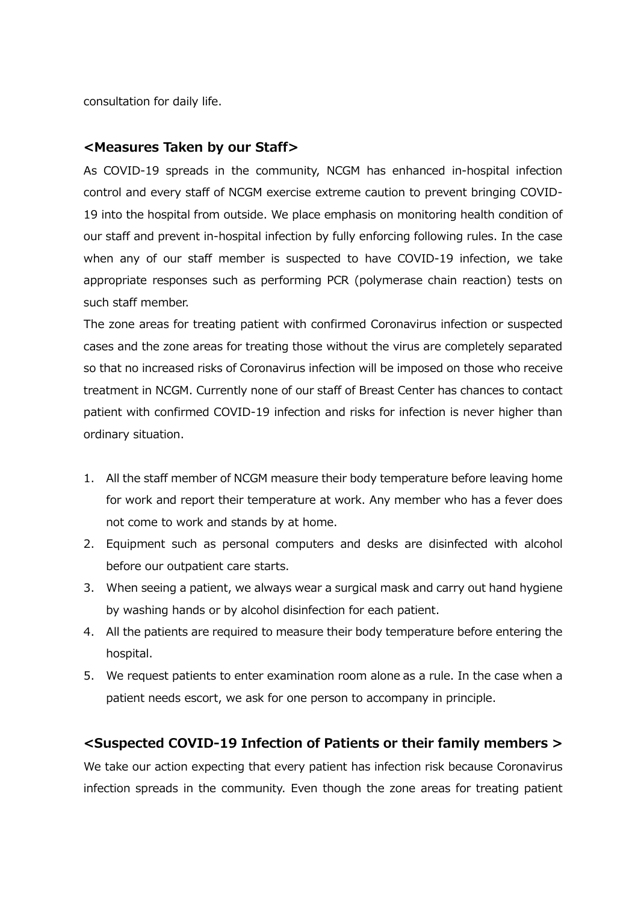consultation for daily life.

#### **<Measures Taken by our Staff>**

As COVID-19 spreads in the community, NCGM has enhanced in-hospital infection control and every staff of NCGM exercise extreme caution to prevent bringing COVID-19 into the hospital from outside. We place emphasis on monitoring health condition of our staff and prevent in-hospital infection by fully enforcing following rules. In the case when any of our staff member is suspected to have COVID-19 infection, we take appropriate responses such as performing PCR (polymerase chain reaction) tests on such staff member.

The zone areas for treating patient with confirmed Coronavirus infection or suspected cases and the zone areas for treating those without the virus are completely separated so that no increased risks of Coronavirus infection will be imposed on those who receive treatment in NCGM. Currently none of our staff of Breast Center has chances to contact patient with confirmed COVID-19 infection and risks for infection is never higher than ordinary situation.

- 1. All the staff member of NCGM measure their body temperature before leaving home for work and report their temperature at work. Any member who has a fever does not come to work and stands by at home.
- 2. Equipment such as personal computers and desks are disinfected with alcohol before our outpatient care starts.
- 3. When seeing a patient, we always wear a surgical mask and carry out hand hygiene by washing hands or by alcohol disinfection for each patient.
- 4. All the patients are required to measure their body temperature before entering the hospital.
- 5. We request patients to enter examination room alone as a rule. In the case when a patient needs escort, we ask for one person to accompany in principle.

#### **<Suspected COVID-19 Infection of Patients or their family members >**

We take our action expecting that every patient has infection risk because Coronavirus infection spreads in the community. Even though the zone areas for treating patient